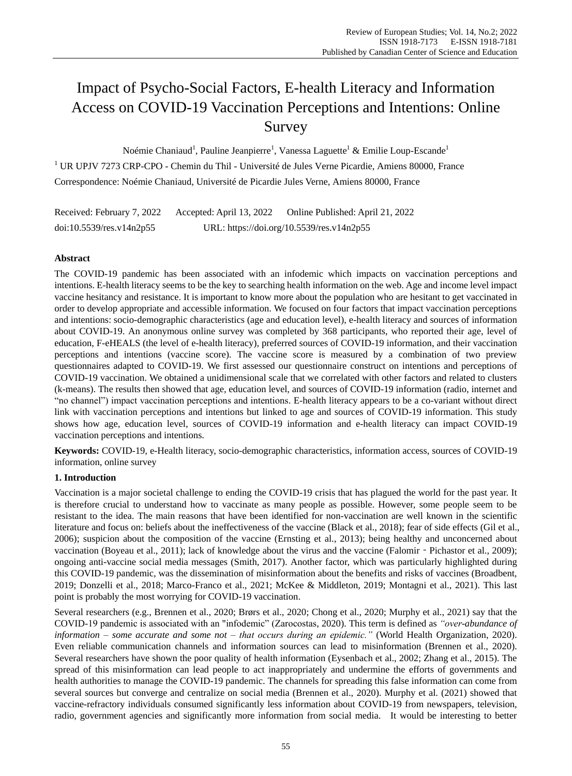# Impact of Psycho-Social Factors, E-health Literacy and Information Access on COVID-19 Vaccination Perceptions and Intentions: Online Survey

No émie Chaniaud<sup>1</sup>, Pauline Jeanpierre<sup>1</sup>, Vanessa Laguette<sup>1</sup> & Emilie Loup-Escande<sup>1</sup> <sup>1</sup> UR UPJV 7273 CRP-CPO - Chemin du Thil - Université de Jules Verne Picardie, Amiens 80000, France Correspondence: Noémie Chaniaud, Université de Picardie Jules Verne, Amiens 80000, France

Received: February 7, 2022 Accepted: April 13, 2022 Online Published: April 21, 2022 doi:10.5539/res.v14n2p55 URL: https://doi.org/10.5539/res.v14n2p55

# **Abstract**

The COVID-19 pandemic has been associated with an infodemic which impacts on vaccination perceptions and intentions. E-health literacy seems to be the key to searching health information on the web. Age and income level impact vaccine hesitancy and resistance. It is important to know more about the population who are hesitant to get vaccinated in order to develop appropriate and accessible information. We focused on four factors that impact vaccination perceptions and intentions: socio-demographic characteristics (age and education level), e-health literacy and sources of information about COVID-19. An anonymous online survey was completed by 368 participants, who reported their age, level of education, F-eHEALS (the level of e-health literacy), preferred sources of COVID-19 information, and their vaccination perceptions and intentions (vaccine score). The vaccine score is measured by a combination of two preview questionnaires adapted to COVID-19. We first assessed our questionnaire construct on intentions and perceptions of COVID-19 vaccination. We obtained a unidimensional scale that we correlated with other factors and related to clusters (k-means). The results then showed that age, education level, and sources of COVID-19 information (radio, internet and "no channel") impact vaccination perceptions and intentions. E-health literacy appears to be a co-variant without direct link with vaccination perceptions and intentions but linked to age and sources of COVID-19 information. This study shows how age, education level, sources of COVID-19 information and e-health literacy can impact COVID-19 vaccination perceptions and intentions.

**Keywords:** COVID-19, e-Health literacy, socio-demographic characteristics, information access, sources of COVID-19 information, online survey

# **1. Introduction**

Vaccination is a major societal challenge to ending the COVID-19 crisis that has plagued the world for the past year. It is therefore crucial to understand how to vaccinate as many people as possible. However, some people seem to be resistant to the idea. The main reasons that have been identified for non-vaccination are well known in the scientific literature and focus on: beliefs about the ineffectiveness of the vaccine (Black et al., 2018); fear of side effects (Gil et al., 2006); suspicion about the composition of the vaccine (Ernsting et al., 2013); being healthy and unconcerned about vaccination (Boyeau et al., 2011); lack of knowledge about the virus and the vaccine (Falomir - Pichastor et al., 2009); ongoing anti-vaccine social media messages (Smith, 2017). Another factor, which was particularly highlighted during this COVID-19 pandemic, was the dissemination of misinformation about the benefits and risks of vaccines (Broadbent, 2019; Donzelli et al., 2018; Marco-Franco et al., 2021; McKee & Middleton, 2019; Montagni et al., 2021). This last point is probably the most worrying for COVID-19 vaccination.

Several researchers (e.g., Brennen et al., 2020; Brørs et al., 2020; Chong et al., 2020; Murphy et al., 2021) say that the COVID-19 pandemic is associated with an "infodemic" (Zarocostas, 2020). This term is defined as *"over-abundance of information – some accurate and some not – that occurs during an epidemic."* (World Health Organization, 2020). Even reliable communication channels and information sources can lead to misinformation (Brennen et al., 2020). Several researchers have shown the poor quality of health information (Eysenbach et al., 2002; Zhang et al., 2015). The spread of this misinformation can lead people to act inappropriately and undermine the efforts of governments and health authorities to manage the COVID-19 pandemic. The channels for spreading this false information can come from several sources but converge and centralize on social media (Brennen et al., 2020). Murphy et al. (2021) showed that vaccine-refractory individuals consumed significantly less information about COVID-19 from newspapers, television, radio, government agencies and significantly more information from social media. It would be interesting to better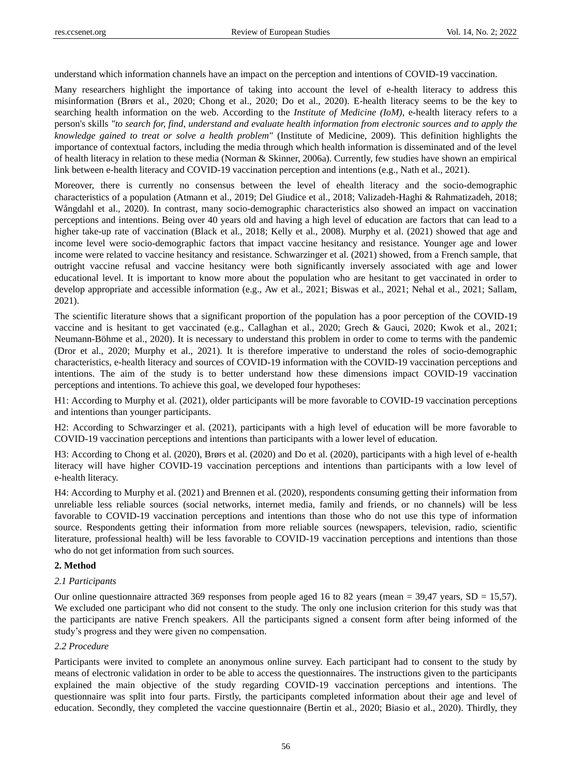understand which information channels have an impact on the perception and intentions of COVID-19 vaccination.

Many researchers highlight the importance of taking into account the level of e-health literacy to address this misinformation (Brørs et al., 2020; Chong et al., 2020; Do et al., 2020). E-health literacy seems to be the key to searching health information on the web. According to the *Institute of Medicine (IoM)*, e-health literacy refers to a person's skills *"to search for, find, understand and evaluate health information from electronic sources and to apply the knowledge gained to treat or solve a health problem"* (Institute of Medicine, 2009). This definition highlights the importance of contextual factors, including the media through which health information is disseminated and of the level of health literacy in relation to these media (Norman & Skinner, 2006a). Currently, few studies have shown an empirical link between e-health literacy and COVID-19 vaccination perception and intentions (e.g., Nath et al., 2021).

Moreover, there is currently no consensus between the level of ehealth literacy and the socio-demographic characteristics of a population (Atmann et al., 2019; Del Giudice et al., 2018; Valizadeh-Haghi & Rahmatizadeh, 2018; Wångdahl et al., 2020). In contrast, many socio-demographic characteristics also showed an impact on vaccination perceptions and intentions. Being over 40 years old and having a high level of education are factors that can lead to a higher take-up rate of vaccination (Black et al., 2018; Kelly et al., 2008). Murphy et al. (2021) showed that age and income level were socio-demographic factors that impact vaccine hesitancy and resistance. Younger age and lower income were related to vaccine hesitancy and resistance. Schwarzinger et al. (2021) showed, from a French sample, that outright vaccine refusal and vaccine hesitancy were both significantly inversely associated with age and lower educational level. It is important to know more about the population who are hesitant to get vaccinated in order to develop appropriate and accessible information (e.g., Aw et al., 2021; Biswas et al., 2021; Nehal et al., 2021; Sallam, 2021).

The scientific literature shows that a significant proportion of the population has a poor perception of the COVID-19 vaccine and is hesitant to get vaccinated (e.g., Callaghan et al., 2020; Grech & Gauci, 2020; Kwok et al., 2021; Neumann-Böhme et al., 2020). It is necessary to understand this problem in order to come to terms with the pandemic (Dror et al., 2020; Murphy et al., 2021). It is therefore imperative to understand the roles of socio-demographic characteristics, e-health literacy and sources of COVID-19 information with the COVID-19 vaccination perceptions and intentions. The aim of the study is to better understand how these dimensions impact COVID-19 vaccination perceptions and intentions. To achieve this goal, we developed four hypotheses:

H1: According to Murphy et al. (2021), older participants will be more favorable to COVID-19 vaccination perceptions and intentions than younger participants.

H2: According to Schwarzinger et al. (2021), participants with a high level of education will be more favorable to COVID-19 vaccination perceptions and intentions than participants with a lower level of education.

H3: According to Chong et al. (2020), Brørs et al. (2020) and Do et al. (2020), participants with a high level of e-health literacy will have higher COVID-19 vaccination perceptions and intentions than participants with a low level of e-health literacy.

H4: According to Murphy et al. (2021) and Brennen et al. (2020), respondents consuming getting their information from unreliable less reliable sources (social networks, internet media, family and friends, or no channels) will be less favorable to COVID-19 vaccination perceptions and intentions than those who do not use this type of information source. Respondents getting their information from more reliable sources (newspapers, television, radio, scientific literature, professional health) will be less favorable to COVID-19 vaccination perceptions and intentions than those who do not get information from such sources.

## **2. Method**

## *2.1 Participants*

Our online questionnaire attracted 369 responses from people aged 16 to 82 years (mean = 39,47 years,  $SD = 15,57$ ). We excluded one participant who did not consent to the study. The only one inclusion criterion for this study was that the participants are native French speakers. All the participants signed a consent form after being informed of the study's progress and they were given no compensation.

# *2.2 Procedure*

Participants were invited to complete an anonymous online survey. Each participant had to consent to the study by means of electronic validation in order to be able to access the questionnaires. The instructions given to the participants explained the main objective of the study regarding COVID-19 vaccination perceptions and intentions. The questionnaire was split into four parts. Firstly, the participants completed information about their age and level of education. Secondly, they completed the vaccine questionnaire (Bertin et al., 2020; Biasio et al., 2020). Thirdly, they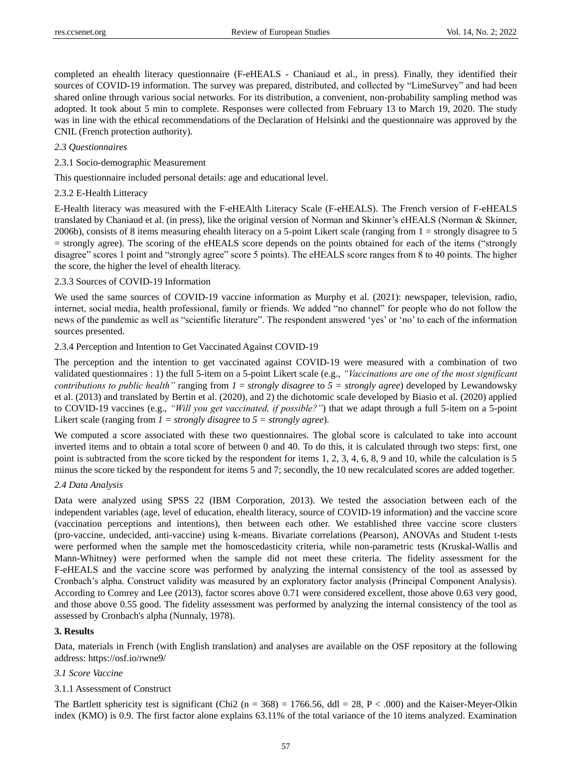completed an ehealth literacy questionnaire (F-eHEALS - Chaniaud et al., in press). Finally, they identified their sources of COVID-19 information. The survey was prepared, distributed, and collected by "LimeSurvey" and had been shared online through various social networks. For its distribution, a convenient, non-probability sampling method was adopted. It took about 5 min to complete. Responses were collected from February 13 to March 19, 2020. The study was in line with the ethical recommendations of the Declaration of Helsinki and the questionnaire was approved by the CNIL (French protection authority).

## *2.3 Questionnaires*

2.3.1 Socio-demographic Measurement

This questionnaire included personal details: age and educational level.

#### 2.3.2 E-Health Litteracy

E-Health literacy was measured with the F-eHEAlth Literacy Scale (F-eHEALS). The French version of F-eHEALS translated by Chaniaud et al. (in press), like the original version of Norman and Skinner's eHEALS (Norman & Skinner, 2006b), consists of 8 items measuring ehealth literacy on a 5-point Likert scale (ranging from 1 = strongly disagree to 5 = strongly agree). The scoring of the eHEALS score depends on the points obtained for each of the items ("strongly disagree" scores 1 point and "strongly agree" score 5 points). The eHEALS score ranges from 8 to 40 points. The higher the score, the higher the level of ehealth literacy.

## 2.3.3 Sources of COVID-19 Information

We used the same sources of COVID-19 vaccine information as Murphy et al. (2021): newspaper, television, radio, internet, social media, health professional, family or friends. We added "no channel" for people who do not follow the news of the pandemic as well as "scientific literature". The respondent answered 'yes' or 'no' to each of the information sources presented.

#### 2.3.4 Perception and Intention to Get Vaccinated Against COVID-19

The perception and the intention to get vaccinated against COVID-19 were measured with a combination of two validated questionnaires : 1) the full 5-item on a 5-point Likert scale (e.g., *"Vaccinations are one of the most significant contributions to public health"* ranging from *1* = *strongly disagree* to *5 = strongly agree*) developed by Lewandowsky et al. (2013) and translated by Bertin et al. (2020), and 2) the dichotomic scale developed by Biasio et al. (2020) applied to COVID-19 vaccines (e.g., *"Will you get vaccinated, if possible?"*) that we adapt through a full 5-item on a 5-point Likert scale (ranging from *1 = strongly disagree* to *5 = strongly agree*).

We computed a score associated with these two questionnaires. The global score is calculated to take into account inverted items and to obtain a total score of between 0 and 40. To do this, it is calculated through two steps: first, one point is subtracted from the score ticked by the respondent for items 1, 2, 3, 4, 6, 8, 9 and 10, while the calculation is 5 minus the score ticked by the respondent for items 5 and 7; secondly, the 10 new recalculated scores are added together.

## *2.4 Data Analysis*

Data were analyzed using SPSS 22 (IBM Corporation, 2013). We tested the association between each of the independent variables (age, level of education, ehealth literacy, source of COVID-19 information) and the vaccine score (vaccination perceptions and intentions), then between each other. We established three vaccine score clusters (pro-vaccine, undecided, anti-vaccine) using k-means. Bivariate correlations (Pearson), ANOVAs and Student t-tests were performed when the sample met the homoscedasticity criteria, while non-parametric tests (Kruskal-Wallis and Mann-Whitney) were performed when the sample did not meet these criteria. The fidelity assessment for the F-eHEALS and the vaccine score was performed by analyzing the internal consistency of the tool as assessed by Cronbach's alpha. Construct validity was measured by an exploratory factor analysis (Principal Component Analysis). According to Comrey and Lee (2013), factor scores above 0.71 were considered excellent, those above 0.63 very good, and those above 0.55 good. The fidelity assessment was performed by analyzing the internal consistency of the tool as assessed by Cronbach's alpha (Nunnaly, 1978).

## **3. Results**

Data, materials in French (with English translation) and analyses are available on the OSF repository at the following address:<https://osf.io/rwne9/>

#### *3.1 Score Vaccine*

## 3.1.1 Assessment of Construct

The Bartlett sphericity test is significant (Chi2 (n = 368) = 1766.56, ddl = 28, P < .000) and the Kaiser-Meyer-Olkin index (KMO) is 0.9. The first factor alone explains 63.11% of the total variance of the 10 items analyzed. Examination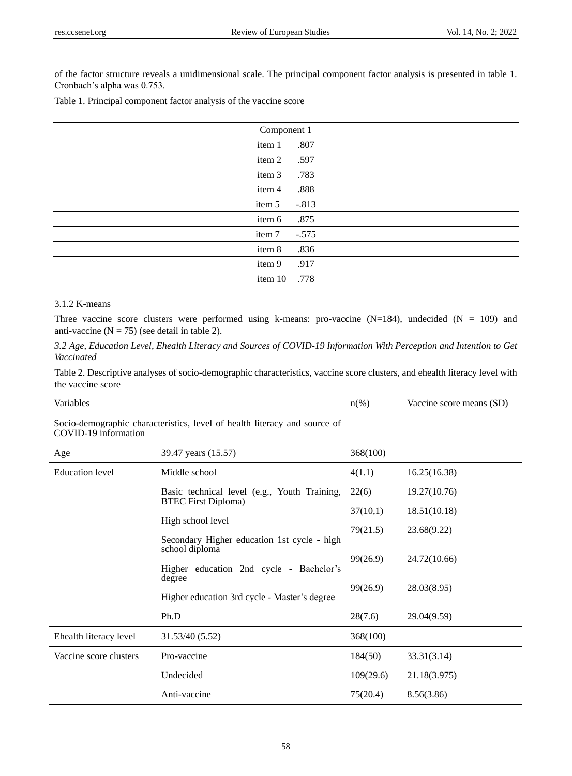of the factor structure reveals a unidimensional scale. The principal component factor analysis is presented in table 1. Cronbach's alpha was 0.753.

|  |  | Table 1. Principal component factor analysis of the vaccine score |  |  |  |  |  |  |
|--|--|-------------------------------------------------------------------|--|--|--|--|--|--|
|--|--|-------------------------------------------------------------------|--|--|--|--|--|--|

| Component 1 |         |  |  |
|-------------|---------|--|--|
| item 1      | .807    |  |  |
| item 2      | .597    |  |  |
| item 3      | .783    |  |  |
| item 4      | .888    |  |  |
| item 5      | $-.813$ |  |  |
| item 6      | .875    |  |  |
| item 7      | $-.575$ |  |  |
| item 8      | .836    |  |  |
| item 9      | .917    |  |  |
| item 10     | .778    |  |  |

# 3.1.2 K-means

Three vaccine score clusters were performed using k-means: pro-vaccine  $(N=184)$ , undecided  $(N = 109)$  and anti-vaccine  $(N = 75)$  (see detail in table 2).

*3.2 Age, Education Level, Ehealth Literacy and Sources of COVID-19 Information With Perception and Intention to Get Vaccinated*

Table 2. Descriptive analyses of socio-demographic characteristics, vaccine score clusters, and ehealth literacy level with the vaccine score

| Variables              |                                                                                                          | $n\left(\%\right)$ | Vaccine score means (SD) |
|------------------------|----------------------------------------------------------------------------------------------------------|--------------------|--------------------------|
| COVID-19 information   | Socio-demographic characteristics, level of health literacy and source of                                |                    |                          |
| Age                    | 39.47 years (15.57)                                                                                      | 368(100)           |                          |
| <b>Education</b> level | Middle school                                                                                            | 4(1.1)             | 16.25(16.38)             |
|                        | Basic technical level (e.g., Youth Training,<br><b>BTEC First Diploma)</b>                               | 22(6)              | 19.27(10.76)             |
|                        |                                                                                                          | 37(10,1)           | 18.51(10.18)             |
|                        | High school level                                                                                        | 79(21.5)           | 23.68(9.22)              |
|                        | Secondary Higher education 1st cycle - high<br>school diploma<br>Higher education 2nd cycle - Bachelor's | 99(26.9)           | 24.72(10.66)             |
|                        | degree                                                                                                   | 99(26.9)           | 28.03(8.95)              |
|                        | Higher education 3rd cycle - Master's degree                                                             |                    |                          |
|                        | Ph.D                                                                                                     | 28(7.6)            | 29.04(9.59)              |
| Ehealth literacy level | 31.53/40 (5.52)                                                                                          | 368(100)           |                          |
| Vaccine score clusters | Pro-vaccine                                                                                              | 184(50)            | 33.31(3.14)              |
|                        | Undecided                                                                                                | 109(29.6)          | 21.18(3.975)             |
|                        | Anti-vaccine                                                                                             | 75(20.4)           | 8.56(3.86)               |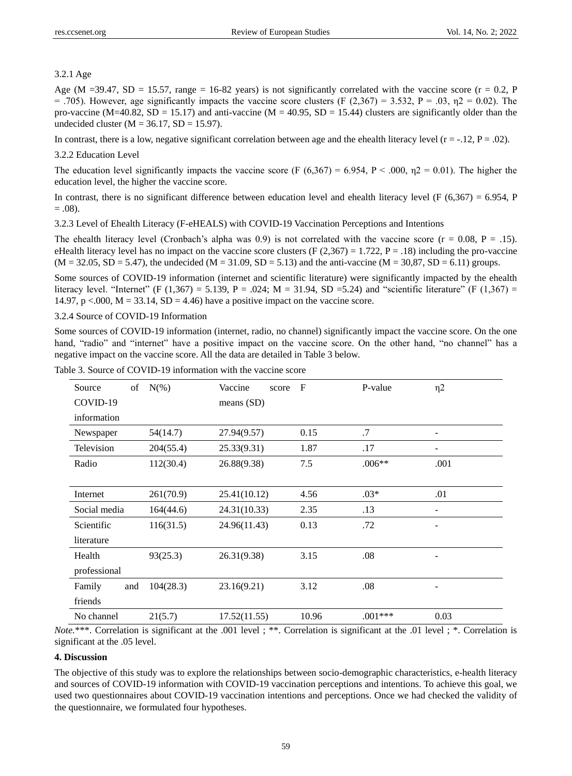## 3.2.1 Age

Age (M =39.47, SD = 15.57, range = 16-82 years) is not significantly correlated with the vaccine score ( $r = 0.2$ , P = .705). However, age significantly impacts the vaccine score clusters (F (2,367) = 3.532, P = .03,  $\eta$ 2 = 0.02). The pro-vaccine (M=40.82, SD = 15.17) and anti-vaccine (M = 40.95, SD = 15.44) clusters are significantly older than the undecided cluster ( $M = 36.17$ ,  $SD = 15.97$ ).

In contrast, there is a low, negative significant correlation between age and the ehealth literacy level ( $r = -12$ ,  $P = .02$ ).

#### 3.2.2 Education Level

The education level significantly impacts the vaccine score (F  $(6,367) = 6.954$ , P < .000,  $n2 = 0.01$ ). The higher the education level, the higher the vaccine score.

In contrast, there is no significant difference between education level and ehealth literacy level (F  $(6,367) = 6.954$ , P  $= .08$ ).

3.2.3 Level of Ehealth Literacy (F-eHEALS) with COVID-19 Vaccination Perceptions and Intentions

The ehealth literacy level (Cronbach's alpha was 0.9) is not correlated with the vaccine score ( $r = 0.08$ ,  $P = .15$ ). eHealth literacy level has no impact on the vaccine score clusters (F  $(2,367) = 1.722$ , P = .18) including the pro-vaccine  $(M = 32.05, SD = 5.47)$ , the undecided  $(M = 31.09, SD = 5.13)$  and the anti-vaccine  $(M = 30.87, SD = 6.11)$  groups.

Some sources of COVID-19 information (internet and scientific literature) were significantly impacted by the ehealth literacy level. "Internet" (F (1,367) = 5.139, P = .024; M = 31.94, SD = 5.24) and "scientific literature" (F (1,367) = 14.97, p <.000,  $M = 33.14$ ,  $SD = 4.46$ ) have a positive impact on the vaccine score.

# 3.2.4 Source of COVID-19 Information

Some sources of COVID-19 information (internet, radio, no channel) significantly impact the vaccine score. On the one hand, "radio" and "internet" have a positive impact on the vaccine score. On the other hand, "no channel" has a negative impact on the vaccine score. All the data are detailed in Table 3 below.

| of<br>Source  | $N(\%)$   | Vaccine<br>score | $_{\rm F}$ | P-value   | $\eta$ 2 |
|---------------|-----------|------------------|------------|-----------|----------|
| COVID-19      |           | means $(SD)$     |            |           |          |
| information   |           |                  |            |           |          |
| Newspaper     | 54(14.7)  | 27.94(9.57)      | 0.15       | .7        |          |
| Television    | 204(55.4) | 25.33(9.31)      | 1.87       | .17       |          |
| Radio         | 112(30.4) | 26.88(9.38)      | 7.5        | $.006**$  | .001     |
|               |           |                  |            |           |          |
| Internet      | 261(70.9) | 25.41(10.12)     | 4.56       | $.03*$    | .01      |
| Social media  | 164(44.6) | 24.31(10.33)     | 2.35       | .13       |          |
| Scientific    | 116(31.5) | 24.96(11.43)     | 0.13       | .72       |          |
| literature    |           |                  |            |           |          |
| Health        | 93(25.3)  | 26.31(9.38)      | 3.15       | .08       |          |
| professional  |           |                  |            |           |          |
| Family<br>and | 104(28.3) | 23.16(9.21)      | 3.12       | .08       |          |
| friends       |           |                  |            |           |          |
| No channel    | 21(5.7)   | 17.52(11.55)     | 10.96      | $.001***$ | 0.03     |

Table 3. Source of COVID-19 information with the vaccine score

*Note.*\*\*\*. Correlation is significant at the .001 level ; \*\*. Correlation is significant at the .01 level ; \*. Correlation is significant at the .05 level.

# **4. Discussion**

The objective of this study was to explore the relationships between socio-demographic characteristics, e-health literacy and sources of COVID-19 information with COVID-19 vaccination perceptions and intentions. To achieve this goal, we used two questionnaires about COVID-19 vaccination intentions and perceptions. Once we had checked the validity of the questionnaire, we formulated four hypotheses.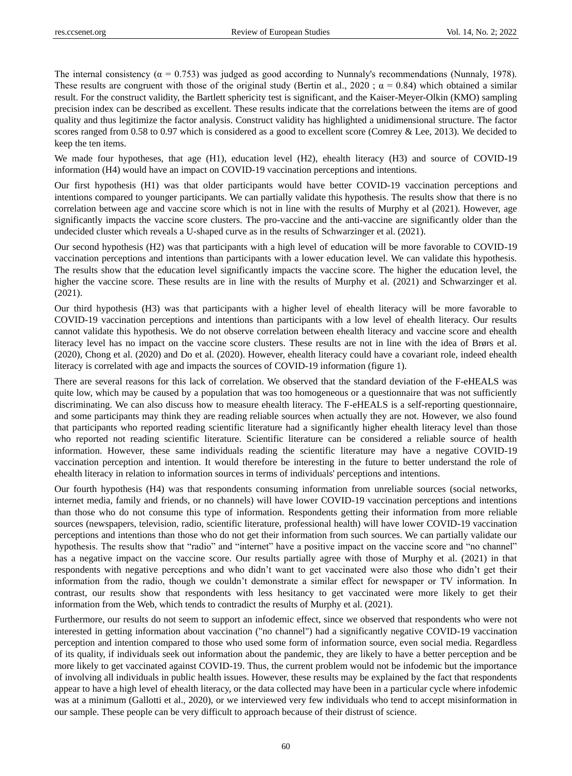The internal consistency ( $\alpha = 0.753$ ) was judged as good according to Nunnaly's recommendations (Nunnaly, 1978). These results are congruent with those of the original study (Bertin et al., 2020 :  $\alpha = 0.84$ ) which obtained a similar result. For the construct validity, the Bartlett sphericity test is significant, and the Kaiser-Meyer-Olkin (KMO) sampling precision index can be described as excellent. These results indicate that the correlations between the items are of good quality and thus legitimize the factor analysis. Construct validity has highlighted a unidimensional structure. The factor scores ranged from 0.58 to 0.97 which is considered as a good to excellent score (Comrey & Lee, 2013). We decided to keep the ten items.

We made four hypotheses, that age (H1), education level (H2), ehealth literacy (H3) and source of COVID-19 information (H4) would have an impact on COVID-19 vaccination perceptions and intentions.

Our first hypothesis (H1) was that older participants would have better COVID-19 vaccination perceptions and intentions compared to younger participants. We can partially validate this hypothesis. The results show that there is no correlation between age and vaccine score which is not in line with the results of Murphy et al (2021). However, age significantly impacts the vaccine score clusters. The pro-vaccine and the anti-vaccine are significantly older than the undecided cluster which reveals a U-shaped curve as in the results of Schwarzinger et al. (2021).

Our second hypothesis (H2) was that participants with a high level of education will be more favorable to COVID-19 vaccination perceptions and intentions than participants with a lower education level. We can validate this hypothesis. The results show that the education level significantly impacts the vaccine score. The higher the education level, the higher the vaccine score. These results are in line with the results of Murphy et al. (2021) and Schwarzinger et al. (2021).

Our third hypothesis (H3) was that participants with a higher level of ehealth literacy will be more favorable to COVID-19 vaccination perceptions and intentions than participants with a low level of ehealth literacy. Our results cannot validate this hypothesis. We do not observe correlation between ehealth literacy and vaccine score and ehealth literacy level has no impact on the vaccine score clusters. These results are not in line with the idea of Brørs et al. (2020), Chong et al. (2020) and Do et al. (2020). However, ehealth literacy could have a covariant role, indeed ehealth literacy is correlated with age and impacts the sources of COVID-19 information (figure 1).

There are several reasons for this lack of correlation. We observed that the standard deviation of the F-eHEALS was quite low, which may be caused by a population that was too homogeneous or a questionnaire that was not sufficiently discriminating. We can also discuss how to measure ehealth literacy. The F-eHEALS is a self-reporting questionnaire, and some participants may think they are reading reliable sources when actually they are not. However, we also found that participants who reported reading scientific literature had a significantly higher ehealth literacy level than those who reported not reading scientific literature. Scientific literature can be considered a reliable source of health information. However, these same individuals reading the scientific literature may have a negative COVID-19 vaccination perception and intention. It would therefore be interesting in the future to better understand the role of ehealth literacy in relation to information sources in terms of individuals' perceptions and intentions.

Our fourth hypothesis (H4) was that respondents consuming information from unreliable sources (social networks, internet media, family and friends, or no channels) will have lower COVID-19 vaccination perceptions and intentions than those who do not consume this type of information. Respondents getting their information from more reliable sources (newspapers, television, radio, scientific literature, professional health) will have lower COVID-19 vaccination perceptions and intentions than those who do not get their information from such sources. We can partially validate our hypothesis. The results show that "radio" and "internet" have a positive impact on the vaccine score and "no channel" has a negative impact on the vaccine score. Our results partially agree with those of Murphy et al. (2021) in that respondents with negative perceptions and who didn't want to get vaccinated were also those who didn't get their information from the radio, though we couldn't demonstrate a similar effect for newspaper or TV information. In contrast, our results show that respondents with less hesitancy to get vaccinated were more likely to get their information from the Web, which tends to contradict the results of Murphy et al. (2021).

Furthermore, our results do not seem to support an infodemic effect, since we observed that respondents who were not interested in getting information about vaccination ("no channel") had a significantly negative COVID-19 vaccination perception and intention compared to those who used some form of information source, even social media. Regardless of its quality, if individuals seek out information about the pandemic, they are likely to have a better perception and be more likely to get vaccinated against COVID-19. Thus, the current problem would not be infodemic but the importance of involving all individuals in public health issues. However, these results may be explained by the fact that respondents appear to have a high level of ehealth literacy, or the data collected may have been in a particular cycle where infodemic was at a minimum (Gallotti et al., 2020), or we interviewed very few individuals who tend to accept misinformation in our sample. These people can be very difficult to approach because of their distrust of science.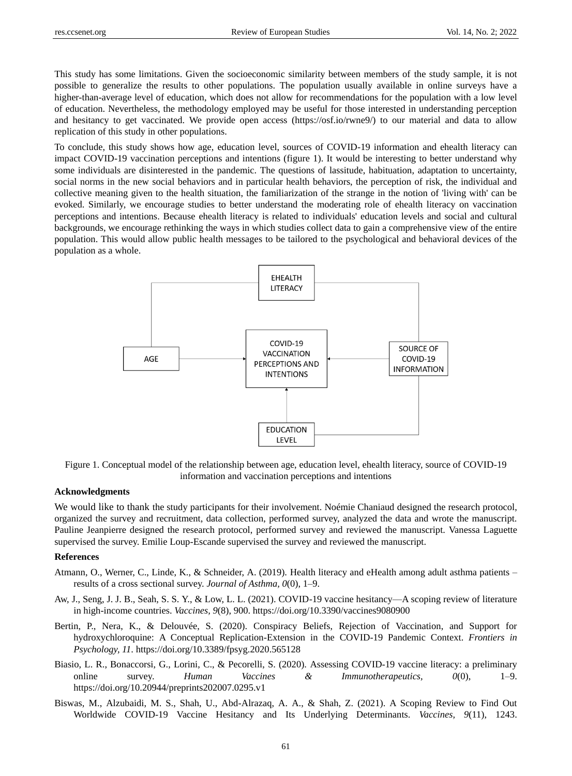This study has some limitations. Given the socioeconomic similarity between members of the study sample, it is not possible to generalize the results to other populations. The population usually available in online surveys have a higher-than-average level of education, which does not allow for recommendations for the population with a low level of education. Nevertheless, the methodology employed may be useful for those interested in understanding perception and hesitancy to get vaccinated. We provide open access (https://osf.io/rwne9/) to our material and data to allow replication of this study in other populations.

To conclude, this study shows how age, education level, sources of COVID-19 information and ehealth literacy can impact COVID-19 vaccination perceptions and intentions (figure 1). It would be interesting to better understand why some individuals are disinterested in the pandemic. The questions of lassitude, habituation, adaptation to uncertainty, social norms in the new social behaviors and in particular health behaviors, the perception of risk, the individual and collective meaning given to the health situation, the familiarization of the strange in the notion of 'living with' can be evoked. Similarly, we encourage studies to better understand the moderating role of ehealth literacy on vaccination perceptions and intentions. Because ehealth literacy is related to individuals' education levels and social and cultural backgrounds, we encourage rethinking the ways in which studies collect data to gain a comprehensive view of the entire population. This would allow public health messages to be tailored to the psychological and behavioral devices of the population as a whole.



Figure 1. Conceptual model of the relationship between age, education level, ehealth literacy, source of COVID-19 information and vaccination perceptions and intentions

# **Acknowledgments**

We would like to thank the study participants for their involvement. Noémie Chaniaud designed the research protocol, organized the survey and recruitment, data collection, performed survey, analyzed the data and wrote the manuscript. Pauline Jeanpierre designed the research protocol, performed survey and reviewed the manuscript. Vanessa Laguette supervised the survey. Emilie Loup-Escande supervised the survey and reviewed the manuscript.

## **References**

- Atmann, O., Werner, C., Linde, K., & Schneider, A. (2019). Health literacy and eHealth among adult asthma patients results of a cross sectional survey. *Journal of Asthma, 0*(0), 1–9.
- Aw, J., Seng, J. J. B., Seah, S. S. Y., & Low, L. L. (2021). COVID-19 vaccine hesitancy—A scoping review of literature in high-income countries. *Vaccines, 9*(8), 900. <https://doi.org/10.3390/vaccines9080900>
- Bertin, P., Nera, K., & Delouvée, S. (2020). Conspiracy Beliefs, Rejection of Vaccination, and Support for hydroxychloroquine: A Conceptual Replication-Extension in the COVID-19 Pandemic Context. *Frontiers in Psychology, 11*[. https://doi.org/10.3389/fpsyg.2020.565128](https://doi.org/10.3389/fpsyg.2020.565128)
- Biasio, L. R., Bonaccorsi, G., Lorini, C., & Pecorelli, S. (2020). Assessing COVID-19 vaccine literacy: a preliminary online survey. *Human Vaccines & Immunotherapeutics, 0*(0), 1–9. <https://doi.org/10.20944/preprints202007.0295.v1>
- Biswas, M., Alzubaidi, M. S., Shah, U., Abd-Alrazaq, A. A., & Shah, Z. (2021). A Scoping Review to Find Out Worldwide COVID-19 Vaccine Hesitancy and Its Underlying Determinants. *Vaccines, 9*(11), 1243.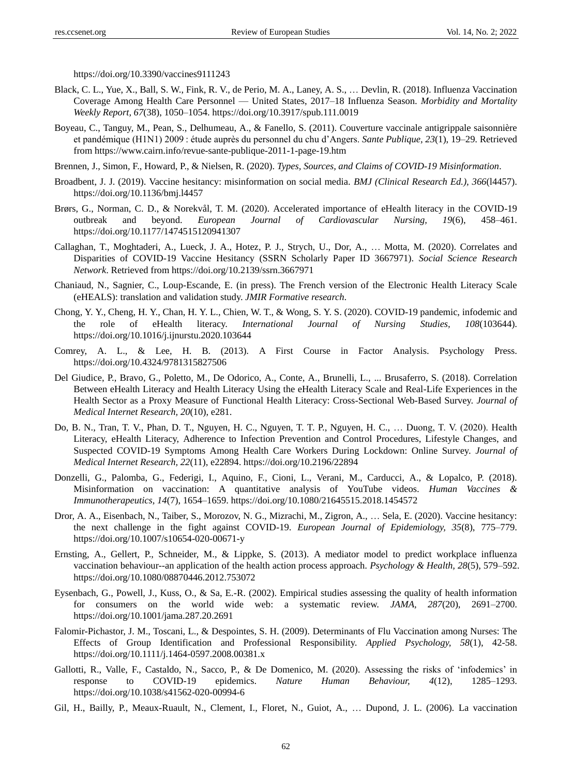<https://doi.org/10.3390/vaccines9111243>

- Black, C. L., Yue, X., Ball, S. W., Fink, R. V., de Perio, M. A., Laney, A. S., … Devlin, R. (2018). Influenza Vaccination Coverage Among Health Care Personnel — United States, 2017–18 Influenza Season. *Morbidity and Mortality Weekly Report, 67*(38), 1050–1054.<https://doi.org/10.3917/spub.111.0019>
- Boyeau, C., Tanguy, M., Pean, S., Delhumeau, A., & Fanello, S. (2011). Couverture vaccinale antigrippale saisonnière et pandémique (H1N1) 2009 : étude auprès du personnel du chu d'Angers. *Sante Publique, 23*(1), 19–29. Retrieved from https://www.cairn.info/revue-sante-publique-2011-1-page-19.htm
- Brennen, J., Simon, F., Howard, P., & Nielsen, R. (2020). *Types, Sources, and Claims of COVID-19 Misinformation*.
- Broadbent, J. J. (2019). Vaccine hesitancy: misinformation on social media. *BMJ (Clinical Research Ed.), 366*(l4457). <https://doi.org/10.1136/bmj.l4457>
- Brørs, G., Norman, C. D., & Norekvål, T. M. (2020). Accelerated importance of eHealth literacy in the COVID-19 outbreak and beyond. *European Journal of Cardiovascular Nursing, 19*(6), 458–461. <https://doi.org/10.1177/1474515120941307>
- Callaghan, T., Moghtaderi, A., Lueck, J. A., Hotez, P. J., Strych, U., Dor, A., … Motta, M. (2020). Correlates and Disparities of COVID-19 Vaccine Hesitancy (SSRN Scholarly Paper ID 3667971). *Social Science Research Network*. Retrieved from<https://doi.org/10.2139/ssrn.3667971>
- Chaniaud, N., Sagnier, C., Loup-Escande, E. (in press). The French version of the Electronic Health Literacy Scale (eHEALS): translation and validation study. *JMIR Formative research*.
- Chong, Y. Y., Cheng, H. Y., Chan, H. Y. L., Chien, W. T., & Wong, S. Y. S. (2020). COVID-19 pandemic, infodemic and the role of eHealth literacy. *International Journal of Nursing Studies, 108*(103644). <https://doi.org/10.1016/j.ijnurstu.2020.103644>
- Comrey, A. L., & Lee, H. B. (2013). A First Course in Factor Analysis. Psychology Press. <https://doi.org/10.4324/9781315827506>
- Del Giudice, P., Bravo, G., Poletto, M., De Odorico, A., Conte, A., Brunelli, L., ... Brusaferro, S. (2018). Correlation Between eHealth Literacy and Health Literacy Using the eHealth Literacy Scale and Real-Life Experiences in the Health Sector as a Proxy Measure of Functional Health Literacy: Cross-Sectional Web-Based Survey. *Journal of Medical Internet Research, 20*(10), e281.
- Do, B. N., Tran, T. V., Phan, D. T., Nguyen, H. C., Nguyen, T. T. P., Nguyen, H. C., … Duong, T. V. (2020). Health Literacy, eHealth Literacy, Adherence to Infection Prevention and Control Procedures, Lifestyle Changes, and Suspected COVID-19 Symptoms Among Health Care Workers During Lockdown: Online Survey. *Journal of Medical Internet Research, 22*(11), e22894[. https://doi.org/10.2196/22894](https://doi.org/10.2196/22894)
- Donzelli, G., Palomba, G., Federigi, I., Aquino, F., Cioni, L., Verani, M., Carducci, A., & Lopalco, P. (2018). Misinformation on vaccination: A quantitative analysis of YouTube videos. *Human Vaccines & Immunotherapeutics, 14*(7), 1654–1659[. https://doi.org/10.1080/21645515.2018.1454572](https://doi.org/10.1080/21645515.2018.1454572)
- Dror, A. A., Eisenbach, N., Taiber, S., Morozov, N. G., Mizrachi, M., Zigron, A., … Sela, E. (2020). Vaccine hesitancy: the next challenge in the fight against COVID-19. *European Journal of Epidemiology, 35*(8), 775–779. <https://doi.org/10.1007/s10654-020-00671-y>
- Ernsting, A., Gellert, P., Schneider, M., & Lippke, S. (2013). A mediator model to predict workplace influenza vaccination behaviour--an application of the health action process approach. *Psychology & Health, 28*(5), 579–592. <https://doi.org/10.1080/08870446.2012.753072>
- Eysenbach, G., Powell, J., Kuss, O., & Sa, E.-R. (2002). Empirical studies assessing the quality of health information for consumers on the world wide web: a systematic review. *JAMA, 287*(20), 2691–2700. <https://doi.org/10.1001/jama.287.20.2691>
- Falomir-Pichastor, J. M., Toscani, L., & Despointes, S. H. (2009). Determinants of Flu Vaccination among Nurses: The Effects of Group Identification and Professional Responsibility. *Applied Psychology, 58*(1), 42-58. <https://doi.org/10.1111/j.1464-0597.2008.00381.x>
- Gallotti, R., Valle, F., Castaldo, N., Sacco, P., & De Domenico, M. (2020). Assessing the risks of 'infodemics' in response to COVID-19 epidemics. *Nature Human Behaviour, 4*(12), 1285–1293. <https://doi.org/10.1038/s41562-020-00994-6>
- Gil, H., Bailly, P., Meaux-Ruault, N., Clement, I., Floret, N., Guiot, A., … Dupond, J. L. (2006). La vaccination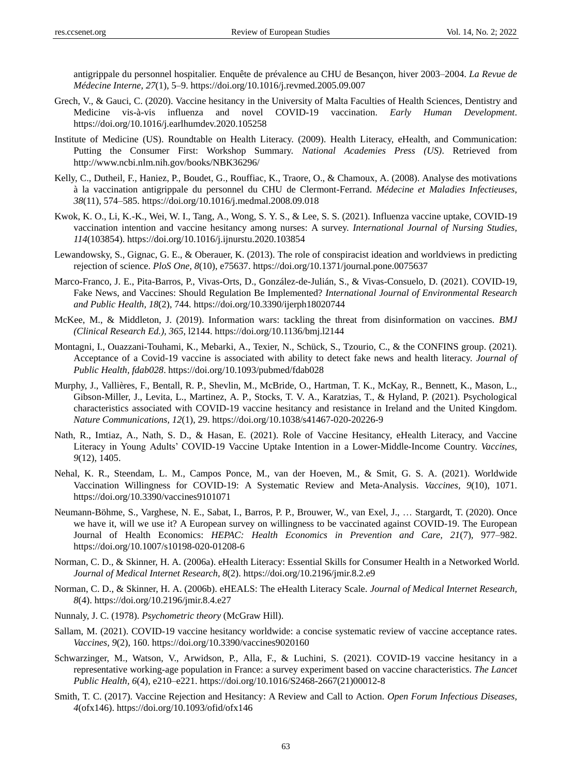antigrippale du personnel hospitalier. Enquête de prévalence au CHU de Besançon, hiver 2003–2004. *La Revue de Médecine Interne, 27*(1), 5–9[. https://doi.org/10.1016/j.revmed.2005.09.007](https://doi.org/10.1016/j.revmed.2005.09.007)

- Grech, V., & Gauci, C. (2020). Vaccine hesitancy in the University of Malta Faculties of Health Sciences, Dentistry and Medicine vis-à-vis influenza and novel COVID-19 vaccination. *Early Human Development*. <https://doi.org/10.1016/j.earlhumdev.2020.105258>
- Institute of Medicine (US). Roundtable on Health Literacy. (2009). Health Literacy, eHealth, and Communication: Putting the Consumer First: Workshop Summary. *National Academies Press (US)*. Retrieved from http://www.ncbi.nlm.nih.gov/books/NBK36296/
- Kelly, C., Dutheil, F., Haniez, P., Boudet, G., Rouffiac, K., Traore, O., & Chamoux, A. (2008). Analyse des motivations à la vaccination antigrippale du personnel du CHU de Clermont-Ferrand. *Médecine et Maladies Infectieuses, 38*(11), 574–585.<https://doi.org/10.1016/j.medmal.2008.09.018>
- Kwok, K. O., Li, K.-K., Wei, W. I., Tang, A., Wong, S. Y. S., & Lee, S. S. (2021). Influenza vaccine uptake, COVID-19 vaccination intention and vaccine hesitancy among nurses: A survey. *International Journal of Nursing Studies, 114*(103854)[. https://doi.org/10.1016/j.ijnurstu.2020.103854](https://doi.org/10.1016/j.ijnurstu.2020.103854)
- Lewandowsky, S., Gignac, G. E., & Oberauer, K. (2013). The role of conspiracist ideation and worldviews in predicting rejection of science. *PloS One, 8*(10), e75637[. https://doi.org/10.1371/journal.pone.0075637](https://doi.org/10.1371/journal.pone.0075637)
- Marco-Franco, J. E., Pita-Barros, P., Vivas-Orts, D., González-de-Julián, S., & Vivas-Consuelo, D. (2021). COVID-19, Fake News, and Vaccines: Should Regulation Be Implemented? *International Journal of Environmental Research and Public Health, 18*(2), 744[. https://doi.org/10.3390/ijerph18020744](https://doi.org/10.3390/ijerph18020744)
- McKee, M., & Middleton, J. (2019). Information wars: tackling the threat from disinformation on vaccines. *BMJ (Clinical Research Ed.), 365*, l2144. <https://doi.org/10.1136/bmj.l2144>
- Montagni, I., Ouazzani-Touhami, K., Mebarki, A., Texier, N., Schück, S., Tzourio, C., & the CONFINS group. (2021). Acceptance of a Covid-19 vaccine is associated with ability to detect fake news and health literacy. *Journal of Public Health, fdab028*.<https://doi.org/10.1093/pubmed/fdab028>
- Murphy, J., Vallières, F., Bentall, R. P., Shevlin, M., McBride, O., Hartman, T. K., McKay, R., Bennett, K., Mason, L., Gibson-Miller, J., Levita, L., Martinez, A. P., Stocks, T. V. A., Karatzias, T., & Hyland, P. (2021). Psychological characteristics associated with COVID-19 vaccine hesitancy and resistance in Ireland and the United Kingdom. *Nature Communications, 12*(1), 29.<https://doi.org/10.1038/s41467-020-20226-9>
- Nath, R., Imtiaz, A., Nath, S. D., & Hasan, E. (2021). Role of Vaccine Hesitancy, eHealth Literacy, and Vaccine Literacy in Young Adults' COVID-19 Vaccine Uptake Intention in a Lower-Middle-Income Country. *Vaccines, 9*(12), 1405.
- Nehal, K. R., Steendam, L. M., Campos Ponce, M., van der Hoeven, M., & Smit, G. S. A. (2021). Worldwide Vaccination Willingness for COVID-19: A Systematic Review and Meta-Analysis. *Vaccines, 9*(10), 1071. <https://doi.org/10.3390/vaccines9101071>
- Neumann-Böhme, S., Varghese, N. E., Sabat, I., Barros, P. P., Brouwer, W., van Exel, J., … Stargardt, T. (2020). Once we have it, will we use it? A European survey on willingness to be vaccinated against COVID-19. The European Journal of Health Economics: *HEPAC: Health Economics in Prevention and Care, 21*(7), 977–982. <https://doi.org/10.1007/s10198-020-01208-6>
- Norman, C. D., & Skinner, H. A. (2006a). eHealth Literacy: Essential Skills for Consumer Health in a Networked World. *Journal of Medical Internet Research, 8*(2)[. https://doi.org/10.2196/jmir.8.2.e9](https://doi.org/10.2196/jmir.8.2.e9)
- Norman, C. D., & Skinner, H. A. (2006b). eHEALS: The eHealth Literacy Scale. *Journal of Medical Internet Research, 8*(4).<https://doi.org/10.2196/jmir.8.4.e27>
- Nunnaly, J. C. (1978). *Psychometric theory* (McGraw Hill).
- Sallam, M. (2021). COVID-19 vaccine hesitancy worldwide: a concise systematic review of vaccine acceptance rates. *Vaccines, 9*(2), 160. <https://doi.org/10.3390/vaccines9020160>
- Schwarzinger, M., Watson, V., Arwidson, P., Alla, F., & Luchini, S. (2021). COVID-19 vaccine hesitancy in a representative working-age population in France: a survey experiment based on vaccine characteristics. *The Lancet Public Health, 6*(4), e210–e221. [https://doi.org/10.1016/S2468-2667\(21\)00012-8](https://doi.org/10.1016/S2468-2667(21)00012-8)
- Smith, T. C. (2017). Vaccine Rejection and Hesitancy: A Review and Call to Action. *Open Forum Infectious Diseases, 4*(ofx146)[. https://doi.org/10.1093/ofid/ofx146](https://doi.org/10.1093/ofid/ofx146)